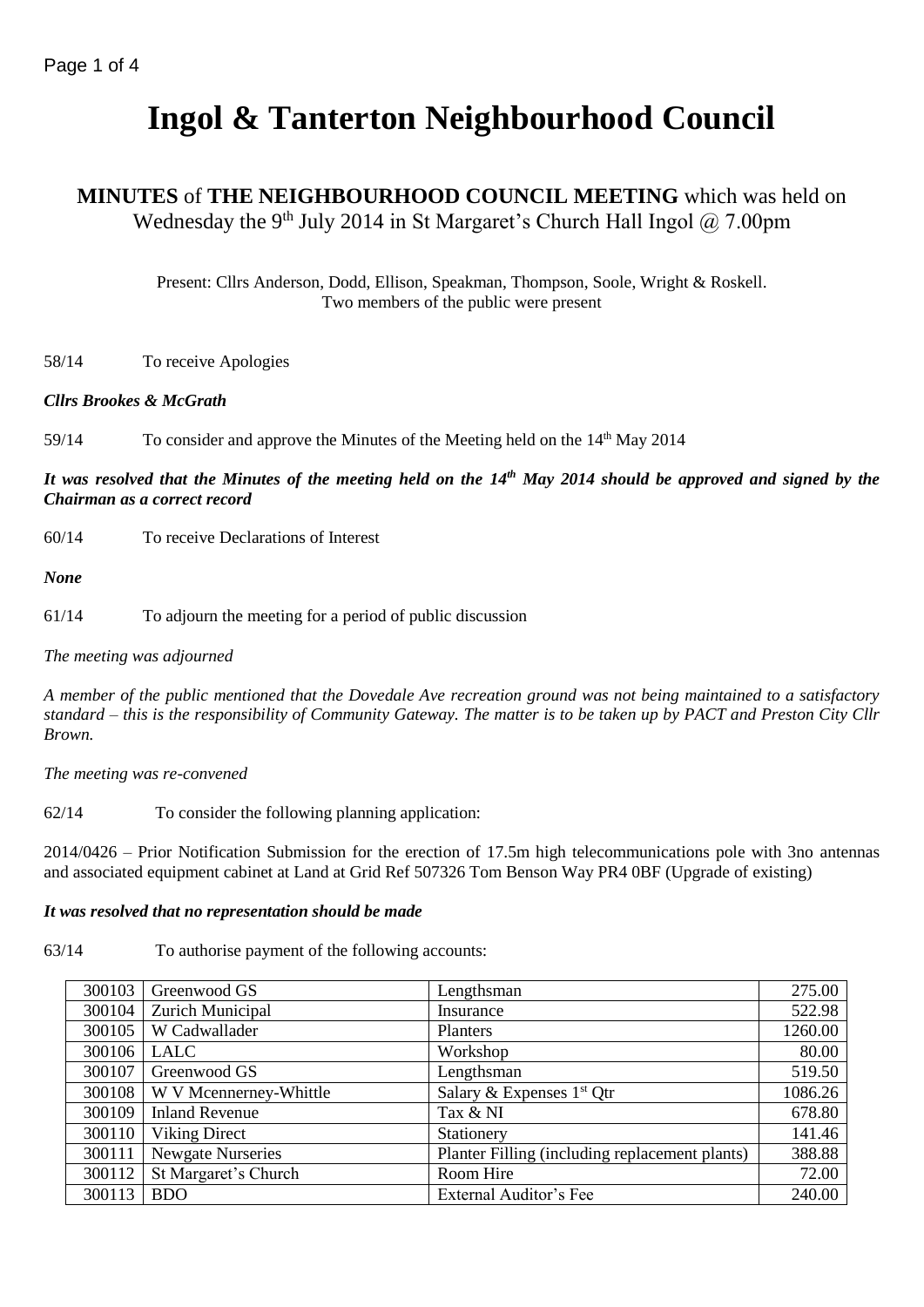# **Ingol & Tanterton Neighbourhood Council**

# **MINUTES** of **THE NEIGHBOURHOOD COUNCIL MEETING** which was held on Wednesday the 9<sup>th</sup> July 2014 in St Margaret's Church Hall Ingol  $@$  7.00pm

Present: Cllrs Anderson, Dodd, Ellison, Speakman, Thompson, Soole, Wright & Roskell. Two members of the public were present

58/14 To receive Apologies

## *Cllrs Brookes & McGrath*

59/14 To consider and approve the Minutes of the Meeting held on the 14<sup>th</sup> May 2014

*It was resolved that the Minutes of the meeting held on the 14th May 2014 should be approved and signed by the Chairman as a correct record*

60/14 To receive Declarations of Interest

*None*

61/14 To adjourn the meeting for a period of public discussion

*The meeting was adjourned*

*A member of the public mentioned that the Dovedale Ave recreation ground was not being maintained to a satisfactory standard – this is the responsibility of Community Gateway. The matter is to be taken up by PACT and Preston City Cllr Brown.*

*The meeting was re-convened*

62/14 To consider the following planning application:

2014/0426 – Prior Notification Submission for the erection of 17.5m high telecommunications pole with 3no antennas and associated equipment cabinet at Land at Grid Ref 507326 Tom Benson Way PR4 0BF (Upgrade of existing)

## *It was resolved that no representation should be made*

63/14 To authorise payment of the following accounts:

| 300103 | Greenwood GS             | Lengthsman                                     | 275.00  |
|--------|--------------------------|------------------------------------------------|---------|
| 300104 | Zurich Municipal         | Insurance                                      | 522.98  |
| 300105 | W Cadwallader            | Planters                                       | 1260.00 |
| 300106 | LALC                     | Workshop                                       | 80.00   |
| 300107 | Greenwood GS             | Lengthsman                                     | 519.50  |
| 300108 | W V Mcennerney-Whittle   | Salary & Expenses $1st$ Qtr                    | 1086.26 |
| 300109 | <b>Inland Revenue</b>    | Tax & NI                                       | 678.80  |
| 300110 | Viking Direct            | Stationery                                     | 141.46  |
| 300111 | <b>Newgate Nurseries</b> | Planter Filling (including replacement plants) | 388.88  |
| 300112 | St Margaret's Church     | Room Hire                                      | 72.00   |
| 300113 | <b>BDO</b>               | External Auditor's Fee                         | 240.00  |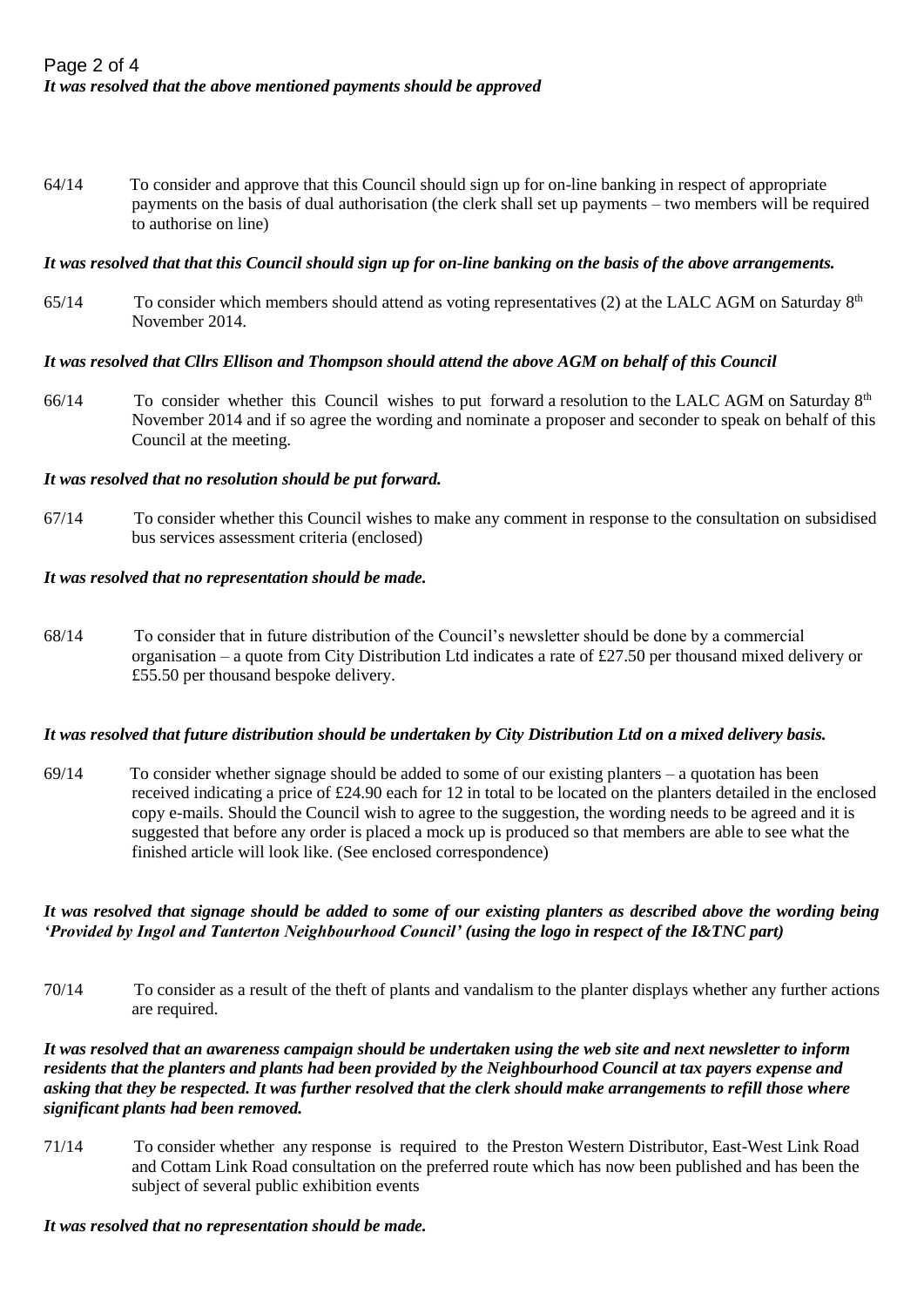64/14 To consider and approve that this Council should sign up for on-line banking in respect of appropriate payments on the basis of dual authorisation (the clerk shall set up payments – two members will be required to authorise on line)

## *It was resolved that that this Council should sign up for on-line banking on the basis of the above arrangements.*

65/14 To consider which members should attend as voting representatives (2) at the LALC AGM on Saturday  $8<sup>th</sup>$ November 2014.

## *It was resolved that Cllrs Ellison and Thompson should attend the above AGM on behalf of this Council*

 $66/14$  To consider whether this Council wishes to put forward a resolution to the LALC AGM on Saturday  $8<sup>th</sup>$ November 2014 and if so agree the wording and nominate a proposer and seconder to speak on behalf of this Council at the meeting.

## *It was resolved that no resolution should be put forward.*

67/14 To consider whether this Council wishes to make any comment in response to the consultation on subsidised bus services assessment criteria (enclosed)

## *It was resolved that no representation should be made.*

68/14 To consider that in future distribution of the Council's newsletter should be done by a commercial organisation – a quote from City Distribution Ltd indicates a rate of £27.50 per thousand mixed delivery or £55.50 per thousand bespoke delivery.

## *It was resolved that future distribution should be undertaken by City Distribution Ltd on a mixed delivery basis.*

 $69/14$  To consider whether signage should be added to some of our existing planters – a quotation has been received indicating a price of £24.90 each for 12 in total to be located on the planters detailed in the enclosed copy e-mails. Should the Council wish to agree to the suggestion, the wording needs to be agreed and it is suggested that before any order is placed a mock up is produced so that members are able to see what the finished article will look like. (See enclosed correspondence)

## *It was resolved that signage should be added to some of our existing planters as described above the wording being 'Provided by Ingol and Tanterton Neighbourhood Council' (using the logo in respect of the I&TNC part)*

70/14 To consider as a result of the theft of plants and vandalism to the planter displays whether any further actions are required.

## *It was resolved that an awareness campaign should be undertaken using the web site and next newsletter to inform residents that the planters and plants had been provided by the Neighbourhood Council at tax payers expense and asking that they be respected. It was further resolved that the clerk should make arrangements to refill those where significant plants had been removed.*

71/14 To consider whether any response is required to the Preston Western Distributor, East-West Link Road and Cottam Link Road consultation on the preferred route which has now been published and has been the subject of several public exhibition events

## *It was resolved that no representation should be made.*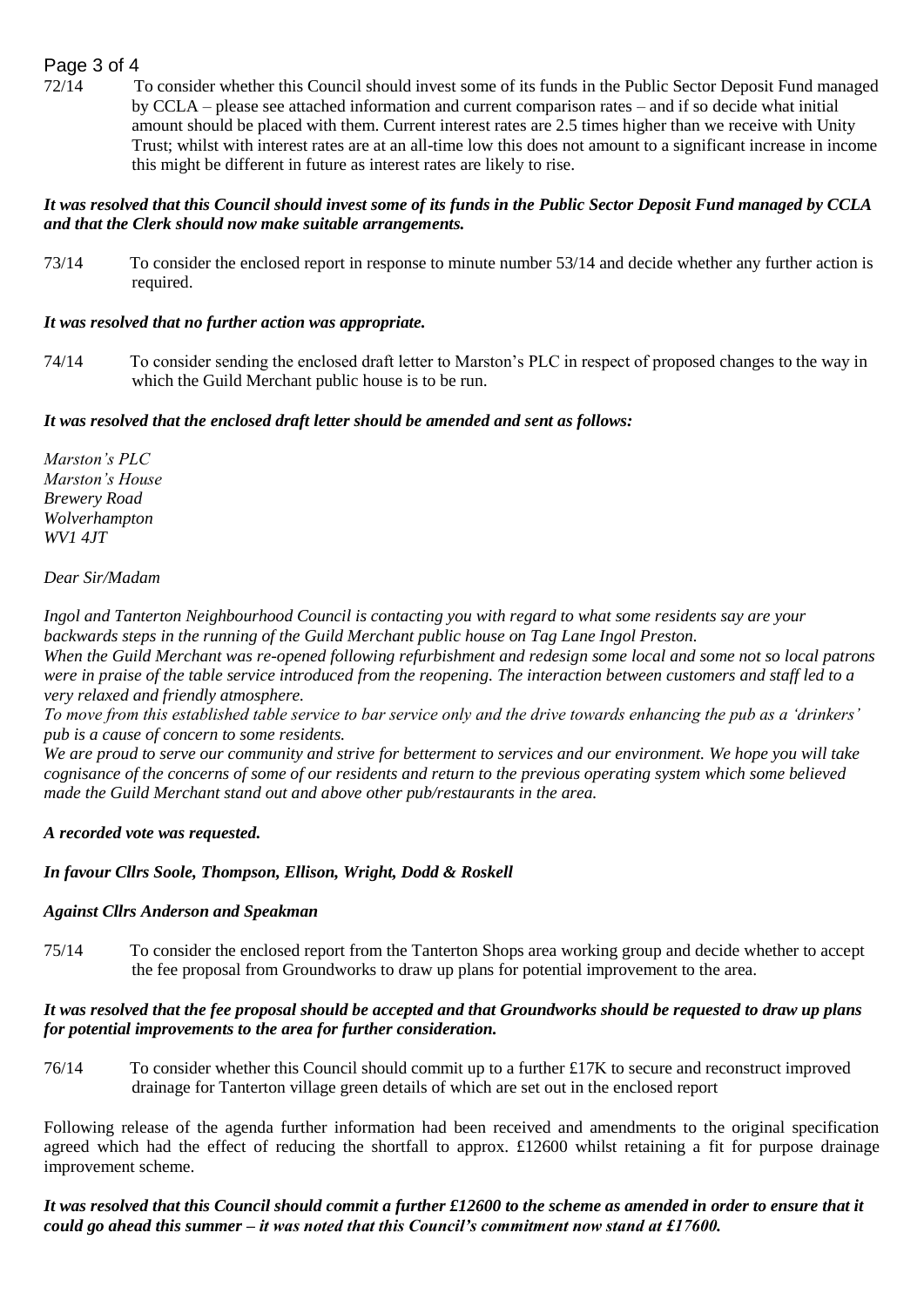## Page 3 of 4

72/14 To consider whether this Council should invest some of its funds in the Public Sector Deposit Fund managed by CCLA – please see attached information and current comparison rates – and if so decide what initial amount should be placed with them. Current interest rates are 2.5 times higher than we receive with Unity Trust; whilst with interest rates are at an all-time low this does not amount to a significant increase in income this might be different in future as interest rates are likely to rise.

## *It was resolved that this Council should invest some of its funds in the Public Sector Deposit Fund managed by CCLA and that the Clerk should now make suitable arrangements.*

73/14 To consider the enclosed report in response to minute number 53/14 and decide whether any further action is required.

## *It was resolved that no further action was appropriate.*

74/14 To consider sending the enclosed draft letter to Marston's PLC in respect of proposed changes to the way in which the Guild Merchant public house is to be run.

## *It was resolved that the enclosed draft letter should be amended and sent as follows:*

*Marston's PLC Marston's House Brewery Road Wolverhampton WV1 4JT*

## *Dear Sir/Madam*

*Ingol and Tanterton Neighbourhood Council is contacting you with regard to what some residents say are your backwards steps in the running of the Guild Merchant public house on Tag Lane Ingol Preston. When the Guild Merchant was re-opened following refurbishment and redesign some local and some not so local patrons were in praise of the table service introduced from the reopening. The interaction between customers and staff led to a very relaxed and friendly atmosphere.*

*To move from this established table service to bar service only and the drive towards enhancing the pub as a 'drinkers' pub is a cause of concern to some residents.*

*We are proud to serve our community and strive for betterment to services and our environment. We hope you will take cognisance of the concerns of some of our residents and return to the previous operating system which some believed made the Guild Merchant stand out and above other pub/restaurants in the area.*

## *A recorded vote was requested.*

## *In favour Cllrs Soole, Thompson, Ellison, Wright, Dodd & Roskell*

## *Against Cllrs Anderson and Speakman*

75/14 To consider the enclosed report from the Tanterton Shops area working group and decide whether to accept the fee proposal from Groundworks to draw up plans for potential improvement to the area.

## *It was resolved that the fee proposal should be accepted and that Groundworks should be requested to draw up plans for potential improvements to the area for further consideration.*

76/14 To consider whether this Council should commit up to a further £17K to secure and reconstruct improved drainage for Tanterton village green details of which are set out in the enclosed report

Following release of the agenda further information had been received and amendments to the original specification agreed which had the effect of reducing the shortfall to approx.  $\pounds12600$  whilst retaining a fit for purpose drainage improvement scheme.

## *It was resolved that this Council should commit a further £12600 to the scheme as amended in order to ensure that it could go ahead this summer – it was noted that this Council's commitment now stand at £17600.*